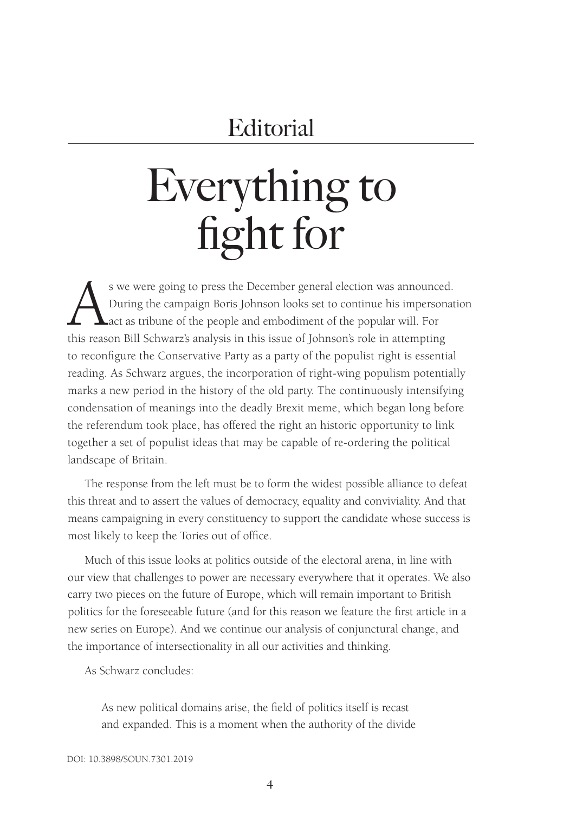# **Editorial**

# Everything to fight for

s we were going to press the December general election was announced. During the campaign Boris Johnson looks set to continue his impersonation act as tribune of the people and embodiment of the popular will. For this reason Bill Schwarz's analysis in this issue of Johnson's role in attempting to reconfigure the Conservative Party as a party of the populist right is essential reading. As Schwarz argues, the incorporation of right-wing populism potentially marks a new period in the history of the old party. The continuously intensifying condensation of meanings into the deadly Brexit meme, which began long before the referendum took place, has offered the right an historic opportunity to link together a set of populist ideas that may be capable of re-ordering the political landscape of Britain.

The response from the left must be to form the widest possible alliance to defeat this threat and to assert the values of democracy, equality and conviviality. And that means campaigning in every constituency to support the candidate whose success is most likely to keep the Tories out of office.

Much of this issue looks at politics outside of the electoral arena, in line with our view that challenges to power are necessary everywhere that it operates. We also carry two pieces on the future of Europe, which will remain important to British politics for the foreseeable future (and for this reason we feature the first article in a new series on Europe). And we continue our analysis of conjunctural change, and the importance of intersectionality in all our activities and thinking.

As Schwarz concludes:

As new political domains arise, the field of politics itself is recast and expanded. This is a moment when the authority of the divide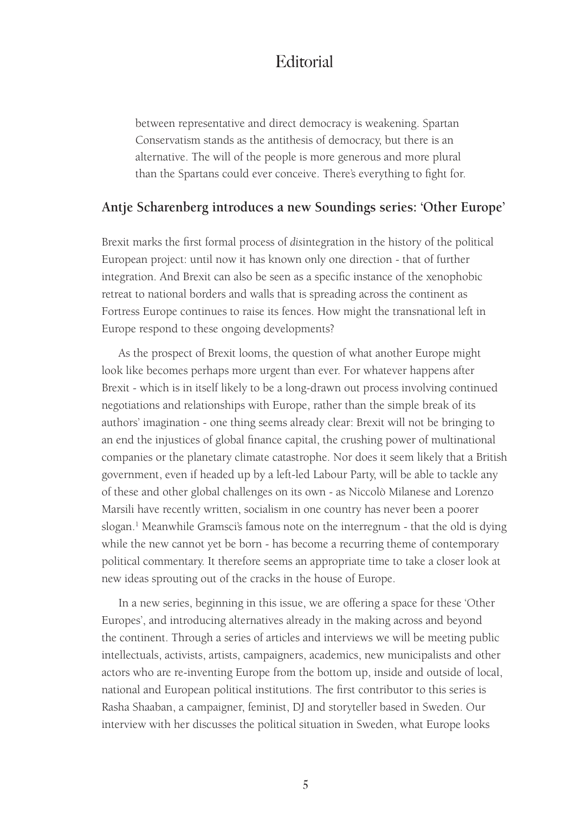### **Editorial**

between representative and direct democracy is weakening. Spartan Conservatism stands as the antithesis of democracy, but there is an alternative. The will of the people is more generous and more plural than the Spartans could ever conceive. There's everything to fight for.

#### **Antje Scharenberg introduces a new Soundings series: 'Other Europe'**

Brexit marks the first formal process of *dis*integration in the history of the political European project: until now it has known only one direction - that of further integration. And Brexit can also be seen as a specific instance of the xenophobic retreat to national borders and walls that is spreading across the continent as Fortress Europe continues to raise its fences. How might the transnational left in Europe respond to these ongoing developments?

As the prospect of Brexit looms, the question of what another Europe might look like becomes perhaps more urgent than ever. For whatever happens after Brexit - which is in itself likely to be a long-drawn out process involving continued negotiations and relationships with Europe, rather than the simple break of its authors' imagination - one thing seems already clear: Brexit will not be bringing to an end the injustices of global finance capital, the crushing power of multinational companies or the planetary climate catastrophe. Nor does it seem likely that a British government, even if headed up by a left-led Labour Party, will be able to tackle any of these and other global challenges on its own - as Niccolò Milanese and Lorenzo Marsili have recently written, socialism in one country has never been a poorer slogan.1 Meanwhile Gramsci's famous note on the interregnum - that the old is dying while the new cannot yet be born - has become a recurring theme of contemporary political commentary. It therefore seems an appropriate time to take a closer look at new ideas sprouting out of the cracks in the house of Europe.

In a new series, beginning in this issue, we are offering a space for these 'Other Europes', and introducing alternatives already in the making across and beyond the continent. Through a series of articles and interviews we will be meeting public intellectuals, activists, artists, campaigners, academics, new municipalists and other actors who are re-inventing Europe from the bottom up, inside and outside of local, national and European political institutions. The first contributor to this series is Rasha Shaaban, a campaigner, feminist, DJ and storyteller based in Sweden. Our interview with her discusses the political situation in Sweden, what Europe looks